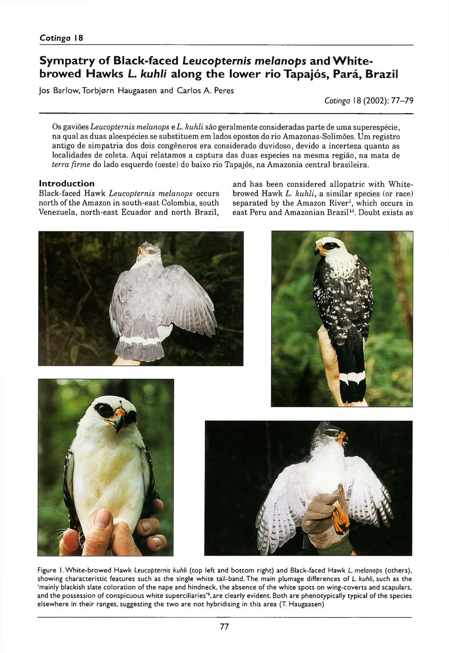# Sympatry of Black-faced Leucopternis melanops and White**browed Hawks L. kuhli along the lower rio Tapajós, Pará, Brazil**

Jos Barlow, Torbjørn Haugaasen and Carlos A. Peres

*Cotinga* 18 (2002): 77–79

Os gaviões *Leucopternis melanops* e *L. kuhli* são geralmente consideradas parte de uma superespécie, na qual as duas aloespécies se substituem em lados opostos do rio Amazonas-Solimões. Um registro antigo de sim patria dos dois congéneros era considerado duvidoso, devido a incerteza quanto as localidades de coleta. Aqui relatamos a captura das duas especies na mesma região, na mata de *terra firme* do lado esquerdo (oeste) do baixo rio Tapajós, na Amazonia central brasileira.

# **Introduction**

Black-faced Hawk *Leucopternis melanops* occurs north of the Amazon in south-east Colombia, south Venezuela, north-east Ecuador and north Brazil, and has been considered allopatric with Whitebrowed Hawk *L. kuhli*, a similar species (or race) separated by the Amazon River<sup>5</sup>, which occurs in east Peru and Amazonian Brazil<sup>14</sup>. Doubt exists as









Figure 1. W hite-brow ed Hawk *Leucopternis kuhli* (top left and bottom right) and Black-faced Hawk *L. melanops* ( others), showing characteristic features such as the single white tail-band. The main plumage differences of *L. kuhli*, such as the 'mainly blackish slate coloration of the nape and hindneck, the absence of the white spots on wing-coverts and scapulars, and the possession of conspicuous white superciliaries'<sup>6</sup>, are clearly evident. Both are phenotypically typical of the species elsewhere in their ranges, suggesting the two are not hybridising in this area (T. Haugaasen)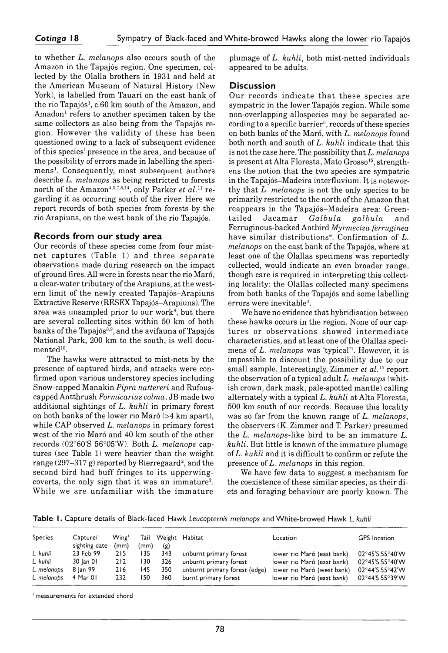to w hether *L. melanops* also occurs south of the Amazon in the Tapajós region. One specimen, collected by the Olalla brothers in 1931 and held at the American Museum of Natural History (New York), is labelled from Tauari on the east bank of the rio Tapajós1, *c.* 60 km south of the Amazon, and Amadon<sup>1</sup> refers to another specimen taken by the same collectors as also being from the Tapajós region. However the validity of these has been questioned owing to a lack of subsequent evidence of this species' presence in the area, and because of the possibility of errors made in labelling the specimens<sup>1</sup>. Consequently, most subsequent authors describe *L. melanops* as being restricted to forests north of the Amazon4,5,7,8,14, only Parker *et al.*11 regarding it as occurring south of the river. Here we report records of both species from forests by the rio Arapiuns, on the west bank of the rio Tapajós.

# **Records from our study area**

Our records of these species come from four mistnet captures (Table 1) and three separate observations made during research on the impact of ground fires. All were in forests near the rio Maro, a clear-water tributary of the Arapiuns, at the western limit of the newly created Tapajós–Arapiuns Extractive Reserve (RESEX Tapajós–Arapiuns). The area was unsampled prior to our work $8$ , but there are several collecting sites within 50 km of both banks of the Tapajós<sup>8,9</sup>, and the avifauna of Tapajós National Park, 200 km to the south, is well documented<sup>10</sup>.

The hawks were attracted to mist-nets by the presence of captured birds, and attacks were confirmed upon various understorey species including Snow-capped Manakin *Pipra nattereri* and Rufouscapped Antthrush *Formicarius colma.* JB made two additional sightings of *L. kuhli* in primary forest on both banks of the lower rio Maro  $(>4 \text{ km apart})$ , while CAP observed *L. melanops* in primary forest west of the rio Maró and 40 km south of the other records (02°60'S 56°05'W). Both *L. melanops* captures (see Table 1) were heavier than the weight range  $(297-317 g)$  reported by Bierregaard<sup>2</sup>, and the second bird had buff fringes to its upperwingcoverts, the only sign that it was an immature<sup>2</sup>. While we are unfamiliar with the immature

plumage of *L. kuhli,* both mist-netted individuals appeared to be adults.

#### **Discussion**

Our records indicate that these species are sympatric in the lower Tapajós region. While some non-overlapping allospecies may be separated according to a specific barrier $6$ , records of these species on both banks of the Maro, with *L. melanops* found both north and south of *L. kuhli* indicate that this is not the case here. The possibility that *L. melanops* is present at Alta Floresta, Mato Grosso<sup>15</sup>, strengthens the notion that the two species are sympatric in the Tapajós–Madeira interfluvium. It is noteworthy that *L. melanops* is not the only species to be primarily restricted to the north of the Amazon that reappears in the Tapajós–Madeira area: Greentailed Jacamar *Galbula galbula* and Ferruginous-backed Antbird *Myrmeciza ferruginea* have similar distributions<sup>6</sup>. Confirmation of *L*. *melanops* on the east bank of the Tapajós, where at least one of the Olallas specimens was reportedly collected, would indicate an even broader range, though care is required in interpreting this collecting locality: the Olallas collected many specimens from both banks of the Tapajós and some labelling errors were inevitable<sup>1</sup>.

We have no evidence that hybridisation between these hawks occurs in the region. None of our captures or observations showed intermediate characteristics, and at least one of the Olallas specimens of *L. melanops* was 'typical'1. However, it is impossible to discount the possibility due to our small sample. Interestingly, Zimmer *et al.*15 report the observation of a typical adult *L. melanops* (whitish crown, dark mask, pale-spotted mantle) calling alternately with a typical *L. kuhli* at Alta Floresta, 500 km south of our records. Because this locality was so far from the known range of *L. melanops,* the observers (K. Zimmer and T. Parker) presumed the *L. melanops-like bird to be an immature L. kuhli.* But little is known of the immature plumage of *L. kuhli* and it is difficult to confirm or refute the presence of *L. melanops* in this region.

We have few data to suggest a mechanism for the coexistence of these similar species, as their diets and foraging behaviour are poorly known. The

Table 1. Capture details of Black-faced Hawk Leucopternis melanops and White-browed Hawk L. kuhli

| <b>Species</b> | Capture/<br>sighting date | Wing <sup>1</sup><br>(mm) | (mm) | (g) | Tail Weight Habitat           | Location                   | <b>GPS</b> location |
|----------------|---------------------------|---------------------------|------|-----|-------------------------------|----------------------------|---------------------|
| L. kuhli       | 23 Feb 99                 | 215                       | 135  | 343 | unburnt primary forest        | lower rio Maró (east bank) | 02°45'S 55°40'W     |
| L. kuhli       | 30 Jan 01                 | 212                       | 130  | 326 | unburnt primary forest        | lower rio Maró (east bank) | 02°45'S 55°40'W     |
| L. melanops    | 8 Ian 99                  | 216                       | 145  | 350 | unburnt primary forest (edge) | lower rio Maró (west bank) | 02°44′S 55°42′W     |
| L. melanops    | 4 Mar 01                  | 232                       | 150  | 360 | burnt primary forest          | lower rio Maró (east bank) | 02°44'S 55°39'W     |

1 measurements for extended chord